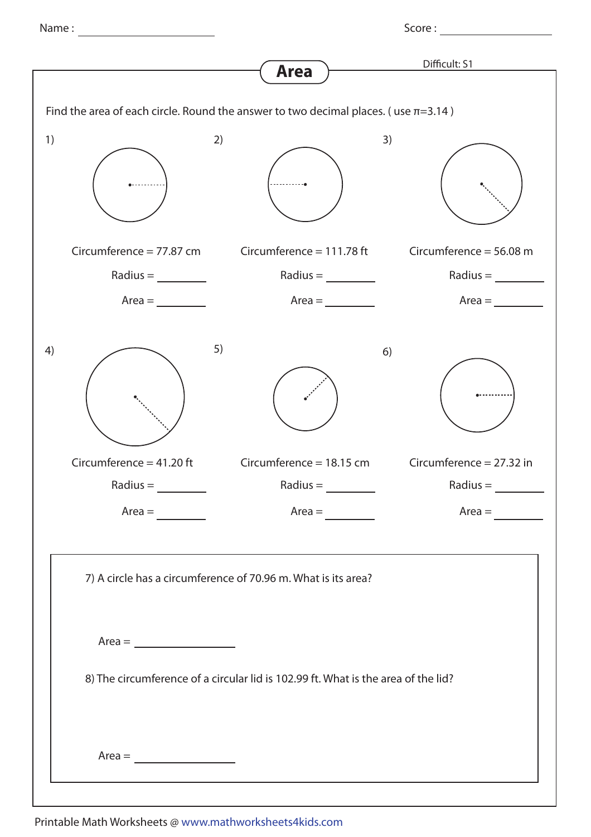Name : Score :

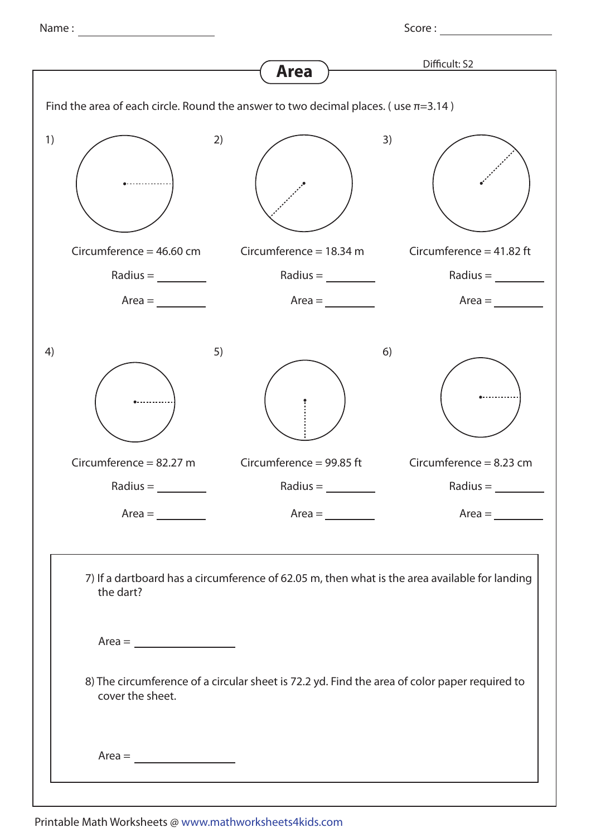Name : Score :

|                                                                                                                                                                                                                                             | <b>Area</b>                   | Difficult: S2              |
|---------------------------------------------------------------------------------------------------------------------------------------------------------------------------------------------------------------------------------------------|-------------------------------|----------------------------|
|                                                                                                                                                                                                                                             |                               |                            |
| Find the area of each circle. Round the answer to two decimal places. (use $\pi$ =3.14)                                                                                                                                                     |                               |                            |
| 1)<br>2)                                                                                                                                                                                                                                    | 3)                            |                            |
| Circumference = $46.60$ cm                                                                                                                                                                                                                  | Circumference = $18.34$ m     | Circumference = $41.82$ ft |
| $Radius = \underline{\qquad}$                                                                                                                                                                                                               | $Radius = \underline{\qquad}$ | Radius = $\_\_$            |
| $Area =$                                                                                                                                                                                                                                    | $Area =$                      | $Area =$                   |
| 5)<br>4)                                                                                                                                                                                                                                    | 6)                            |                            |
| Circumference = $82.27$ m                                                                                                                                                                                                                   | Circumference = 99.85 ft      | Circumference = $8.23$ cm  |
| $Radius =$                                                                                                                                                                                                                                  | $Radius =$                    | $Radius =$                 |
| $Area =$                                                                                                                                                                                                                                    |                               | $Area =$                   |
| 7) If a dartboard has a circumference of 62.05 m, then what is the area available for landing<br>the dart?<br>8) The circumference of a circular sheet is 72.2 yd. Find the area of color paper required to<br>cover the sheet.<br>$Area =$ |                               |                            |
|                                                                                                                                                                                                                                             |                               |                            |
|                                                                                                                                                                                                                                             |                               |                            |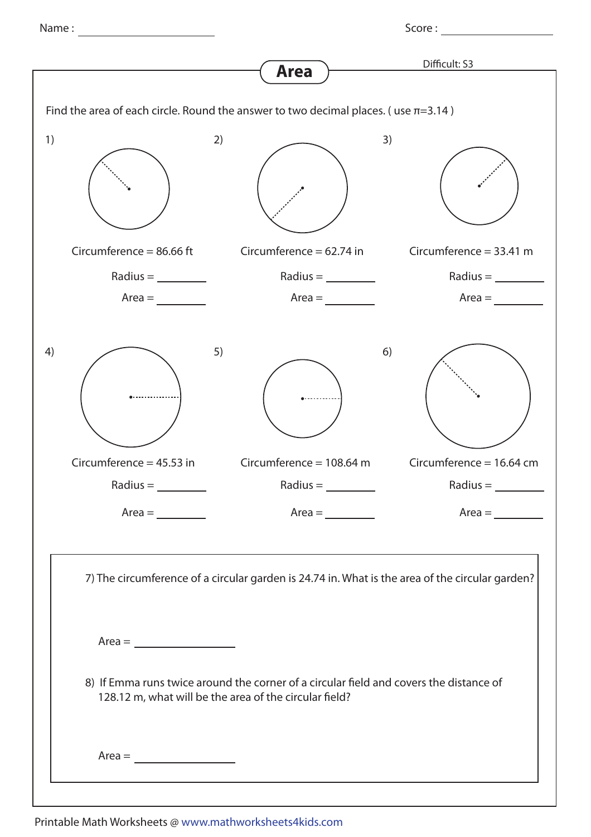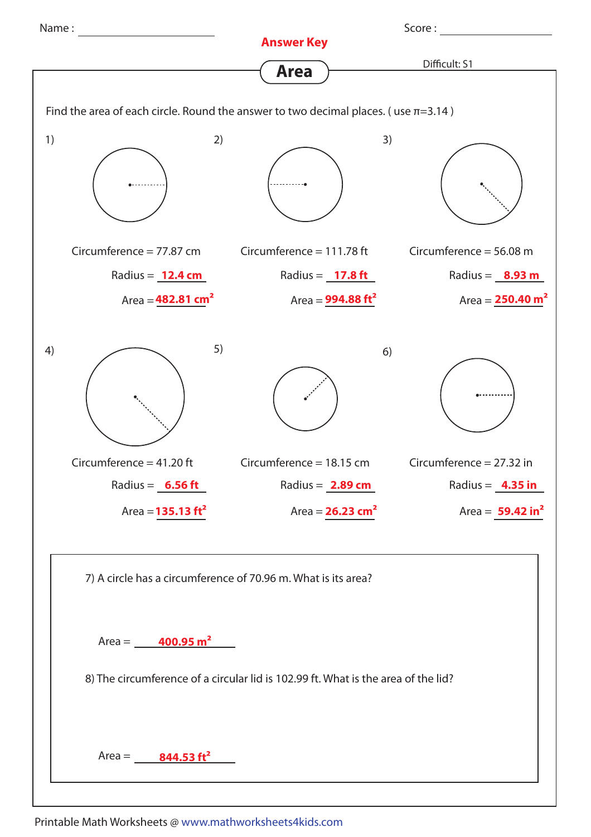

Printable Math Worksheets @ www.mathworksheets4kids.com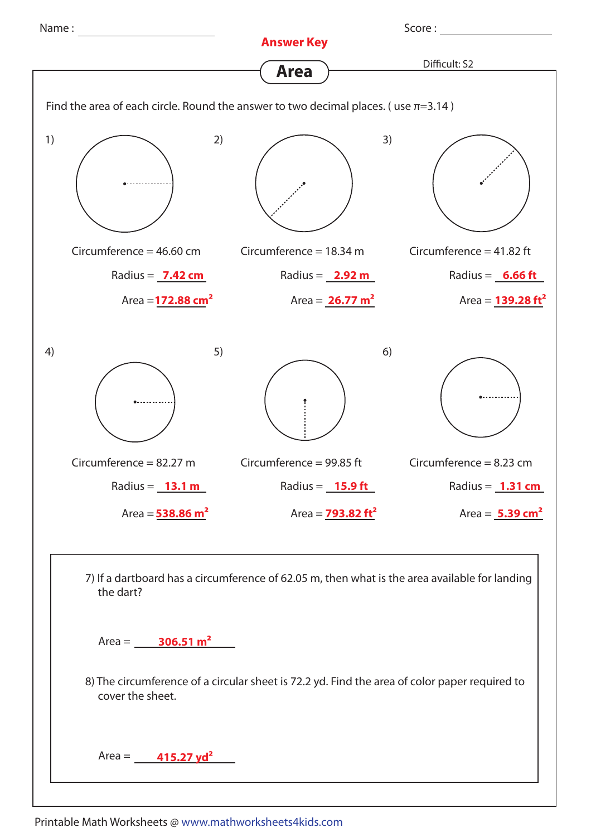

Printable Math Worksheets @ www.mathworksheets4kids.com